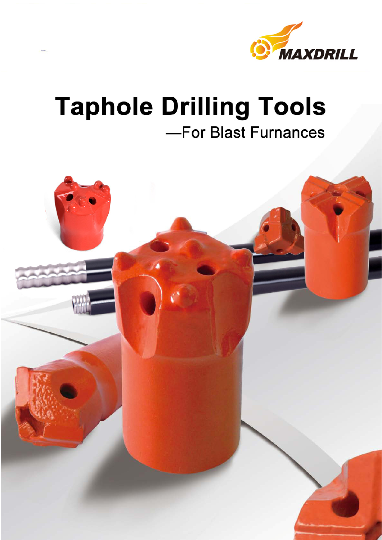

# **Taphole Drilling Tools For Blast Furnances**

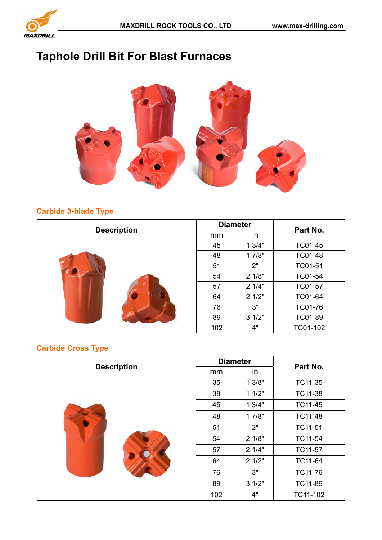

## **Taphole Drill Bit For Blast Furnaces**



#### **Carbide 3-blade Type**

|                    | <b>Diameter</b> |        | Part No.       |  |
|--------------------|-----------------|--------|----------------|--|
| <b>Description</b> | mm              | in     |                |  |
|                    | 45              | 13/4"  | <b>TC01-45</b> |  |
|                    | 48              | 17/8"  | <b>TC01-48</b> |  |
|                    | 51              | 2"     | TC01-51        |  |
|                    | 54              | 2 1/8" | TC01-54        |  |
|                    | 57              | 21/4"  | TC01-57        |  |
|                    | 64              | 2 1/2" | TC01-64        |  |
|                    | 76              | 3"     | TC01-76        |  |
|                    | 89              | 31/2"  | TC01-89        |  |
|                    | 102             | 4"     | TC01-102       |  |

#### **Carbide Cross Type**

|                    | <b>Diameter</b> |       | Part No.       |
|--------------------|-----------------|-------|----------------|
| <b>Description</b> | <sub>mm</sub>   | in    |                |
|                    | 35              | 13/8" | TC11-35        |
|                    | 38              | 11/2" | TC11-38        |
|                    | 45              | 13/4" | <b>TC11-45</b> |
|                    | 48              | 17/8" | TC11-48        |
|                    | 51              | 2"    | TC11-51        |
|                    | 54              | 21/8" | TC11-54        |
|                    | 57              | 21/4" | TC11-57        |
|                    | 64              | 21/2" | TC11-64        |
|                    | 76              | 3"    | TC11-76        |
|                    | 89              | 31/2" | TC11-89        |
|                    | 102             | 4"    | TC11-102       |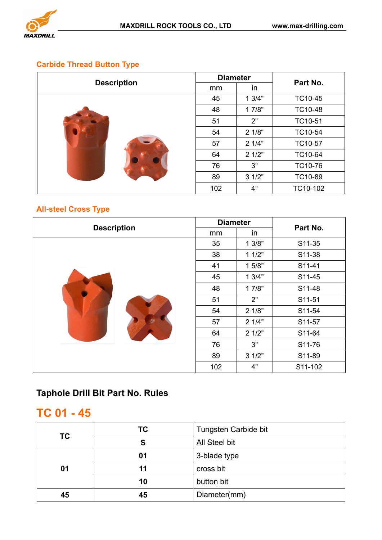

#### **Carbide Thread Button Type**

| <b>Description</b> | <b>Diameter</b> |       | Part No. |  |
|--------------------|-----------------|-------|----------|--|
|                    | mm              | in    |          |  |
|                    | 45              | 13/4" | TC10-45  |  |
|                    | 48              | 17/8" | TC10-48  |  |
|                    | 51              | 2"    | TC10-51  |  |
|                    | 54              | 21/8" | TC10-54  |  |
|                    | 57              | 21/4" | TC10-57  |  |
|                    | 64              | 21/2" | TC10-64  |  |
|                    | 76              | 3"    | TC10-76  |  |
|                    | 89              | 31/2" | TC10-89  |  |
|                    | 102             | 4"    | TC10-102 |  |

#### **All-steel Cross Type**

|                    | <b>Diameter</b> |       | Part No. |
|--------------------|-----------------|-------|----------|
| <b>Description</b> | mm              | in    |          |
|                    | 35              | 13/8" | S11-35   |
|                    | 38              | 11/2" | S11-38   |
|                    | 41              | 15/8" | S11-41   |
|                    | 45              | 13/4" | S11-45   |
|                    | 48              | 17/8" | S11-48   |
|                    | 51              | 2"    | S11-51   |
|                    | 54              | 21/8" | S11-54   |
|                    | 57              | 21/4" | S11-57   |
|                    | 64              | 21/2" | S11-64   |
|                    | 76              | 3"    | S11-76   |
|                    | 89              | 31/2" | S11-89   |
|                    | 102             | 4"    | S11-102  |

### **Taphole Drill Bit Part No. Rules**

## **TC 01 - 45**

| <b>TC</b> | ТC | Tungsten Carbide bit |  |  |
|-----------|----|----------------------|--|--|
|           | S  | All Steel bit        |  |  |
| 01        | 01 | 3-blade type         |  |  |
|           | 11 | cross bit            |  |  |
|           | 10 | button bit           |  |  |
| 45        | 45 | Diameter(mm)         |  |  |